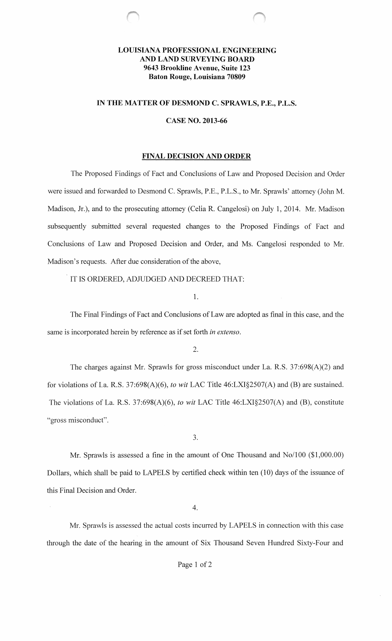# **LOUISIANA PROFESSIONAL ENGINEERING AND LAND SURVEYING BOARD 9643 Brookline Avenue, Suite 123 Baton Rouge, Louisiana 70809**

# IN THE MATTER OF DESMOND **C. SPRAWLS, P.E., P.L.S.**

### **CASE NO. 2013-66**

### **FINAL DECISION AND ORDER**

The Proposed Findings of Fact and Conclusions of Law and Proposed Decision and Order were issued and forwarded to Desmond C. Sprawls, P.E., P.L.S., to Mr. Sprawls' attorney (John M. Madison, Jr.), and to the prosecuting attorney (Celia R. Cangelosi) on July **1,** 2014. Mr. Madison subsequently submitted several requested changes to the Proposed Findings of Fact and Conclusions of Law and Proposed Decision and Order, and Ms. Cangelosi responded to Mr. Madison's requests. After due consideration of the above,

IT IS ORDERED, ADJUDGED AND DECREED THAT:

**1.** 

The Final Findings of Fact and Conclusions of Law are adopted as final in this case, and the same is incorporated herein by reference as if set forth *in extenso.* 

2.

The charges against Mr. Sprawls for gross misconduct under La. R.S. 37:698(A)(2) and for violations of La. R.S. 37:698(A)(6), *to wit* LAC Title 46:LXI§2507(A) and (B) are sustained. The violations of La. R.S. 37:698(A)(6), *to wit* LAC Title 46:LXI§2507(A) and (B), constitute "gross misconduct".

3.

Mr. Sprawls is assessed a fine in the amount of One Thousand and No/100 (\$1,000.00) Dollars, which shall be paid to LAPELS by certified check within ten (10) days of the issuance of this Final Decision and Order.

4.

Mr. Sprawls is assessed the actual costs incurred by LAPELS in connection with this case through the date of the hearing in the amount of Six Thousand Seven Hundred Sixty-Four and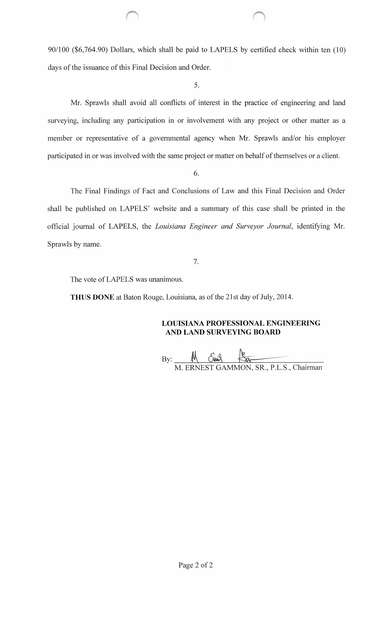90/100 (\$6,764.90) Dollars, which shall be paid to LAPELS by certified check within ten (10) days of the issuance of this Final Decision and Order.

5.

Mr. Sprawls shall avoid all conflicts of interest in the practice of engineering and land surveying, including any participation in or involvement with any project or other matter as a member or representative of a governmental agency when Mr. Sprawls and/or his employer participated in or was involved with the same project or matter on behalf of themselves or a client.

6.

The Final Findings of Fact and Conclusions of Law and this Final Decision and Order shall be published on LAPELS' website and a summary of this case shall be printed in the official journal of LAPELS, the *Louisiana Engineer and Surveyor Journal*, identifying Mr. Sprawls by name.

7.

The vote of LAPELS was unanimous.

**THUS DONE** at Baton Rouge, Louisiana, as of the 21st day of July, 2014.

**LOUISIANA PROFESSIONAL ENGINEERING AND LAND SURVEYING BOARD** 

 $\text{By:}\n\begin{picture}(16,17) \put(0,0){\vector(1,0){15}} \put(1,0){\vector(1,0){15}} \put(1,0){\vector(1,0){15}} \put(1,0){\vector(1,0){15}} \put(1,0){\vector(1,0){15}} \put(1,0){\vector(1,0){15}} \put(1,0){\vector(1,0){15}} \put(1,0){\vector(1,0){15}} \put(1,0){\vector(1,0){15}} \put(1,0){\vector(1,0){15}} \put(1,0){\vector(1,0){15}} \put(1,0){\vector(1,0){1$ ERNEST GAMMON, SR., P.L.S., Chairman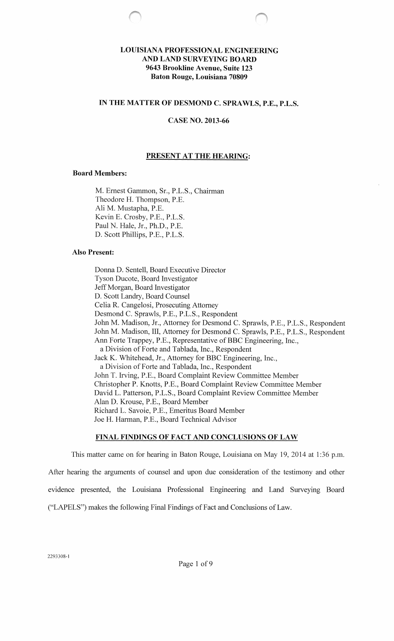# **LOUISIANA PROFESSIONAL ENGINEERING AND LAND SURVEYING BOARD 9643 Brookline Avenue, Suite 123 Baton Rouge, Louisiana 70809**

# **IN THE MATTER OF DESMOND C. SPRAWLS, P.E., P.L.S.**

### **CASE NO. 2013-66**

### **PRESENT AT THE HEARING:**

### **Board Members:**

M. Ernest Gammon, Sr., P.L.S., Chairman Theodore H. Thompson, P.E. Ali M. Mustapha, P.E. Kevin E. Crosby, P.E., P.L.S. Paul N. Hale, Jr., Ph.D., P.E. D. Scott Phillips, P.E., P.L.S.

#### **Also Present:**

Donna D. Sentell, Board Executive Director Tyson Ducote, Board Investigator Jeff Morgan, Board Investigator D. Scott Landry, Board Counsel Celia R. Cangelosi, Prosecuting Attorney Desmond C. Sprawls, P.E., P.L.S., Respondent John M. Madison, Jr., Attorney for Desmond C. Sprawls, P.E., P.L.S., Respondent John M. Madison, III, Attorney for Desmond C. Sprawls, P.E., P.L.S., Respondent Ann Forte Trappey, P.E., Representative of BBC Engineering, Inc., a Division of Forte and Tablada, Inc., Respondent Jack K. Whitehead, Jr., Attorney for BBC Engineering, Inc., a Division of Forte and Tablada, Inc., Respondent John T. Irving, P.E., Board Complaint Review Committee Member Christopher **P.** Knotts, P.E., Board Complaint Review Committee Member David L. Patterson, P.L.S., Board Complaint Review Committee Member Alan D. Krouse, P.E., Board Member Richard L. Savoie, P.E., Emeritus Board Member Joe H. Harman, P.E., Board Technical Advisor

### **FINAL FINDINGS OF FACT AND CONCLUSIONS OF LAW**

This matter came on for hearing in Baton Rouge, Louisiana on May 19, 2014 at 1:36 p.m. After hearing the arguments of counsel and upon due consideration of the testimony and other evidence presented, the Louisiana Professional Engineering and Land Surveying Board ("LAPELS") makes the following Final Findings of Fact and Conclusions ofLaw.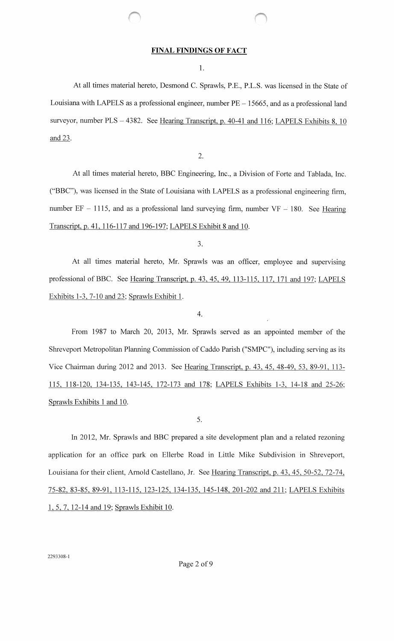### **FINAL FINDINGS OF FACT**

1.

At all times material hereto, Desmond C. Sprawls, P.E., P.L.S. was licensed in the State of Louisiana with LAPELS as a professional engineer, number  $PE - 15665$ , and as a professional land surveyor, number  $PLS - 4382$ . See Hearing Transcript, p. 40-41 and 116; LAPELS Exhibits 8, 10 and 23.

2.

At all times material hereto, BBC Engineering, Inc., a Division of Forte and Tablada, Inc. ("BBC"), was licensed in the State of Louisiana with LAPELS as a professional engineering firm, number  $EF - 1115$ , and as a professional land surveying firm, number  $VF - 180$ . See Hearing Transcript, p. 41, 116-117 and 196-197; LAPELS Exhibit 8 and 10.

3.

At all times material hereto, Mr. Sprawls was an officer, employee and supervising professional of BBC. See Hearing Transcript, p. 43, 45, 49, 113-115, 117, 171 and 197; LAPELS Exhibits 1-3, 7-10 and 23; Sprawls Exhibit 1.

4.

From 1987 to March 20, 2013, Mr. Sprawls served as an appointed member of the Shreveport Metropolitan Planning Commission of Caddo Parish ("SMPC"), including serving as its Vice Chairman during 2012 and 2013. See Hearing Transcript, p. 43, 45, 48-49, 53, 89-91, 113-115, 118-120, 134-135, 143-145, 172-173 and 178; LAPELS Exhibits 1-3, 14-18 and 25-26; Sprawls Exhibits 1 and 10.

5.

In 2012, Mr. Sprawls and BBC prepared a site development plan and a related rezoning application for an office park on Ellerbe Road in Little Mike Subdivision in Shreveport, Louisiana for their client, Arnold Castellano, Jr. See Hearing Transcript, p. 43, 45, 50-52, 72-74, 75-82, 83-85, 89-91, 113-115, 123-125, 134-135, 145-148, 201-202 and 211; LAPELS Exhibits 1, 5, 7, 12-14 and 19; Sprawls Exhibit 10.

2293308-1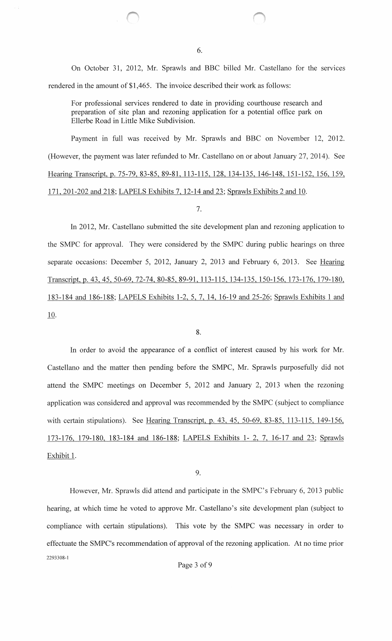On October 31, 2012, Mr. Sprawls and BBC billed Mr. Castellano for the services rendered in the amount of \$1,465. The invoice described their work as follows:

For professional services rendered to date in providing courthouse research and preparation of site plan and rezoning application for a potential office park on Ellerbe Road in Little Mike Subdivision.

Payment in full was received by Mr. Sprawls and BBC on November 12, 2012. (However, the payment was later refunded to Mr. Castellano on or about January 27, 2014). See Hearing Transcript, p. 75-79, 83-85, 89-81, 113-115, 128, 134-135, 146-148, 151-152, 156, 159, 171,201-202 and 218; LAPELS Exhibits 7, 12-14 and 23; Sprawls Exhibits 2 and 10.

### 7.

In 2012, Mr. Castellano submitted the site development plan and rezoning application to the SMPC for approval. They were considered by the SMPC during public hearings on three separate occasions: December 5, 2012, January 2, 2013 and February 6, 2013. See Hearing Transcript, p. 43, 45,50-69,72-74,80-85,89-91,113-115,134-135,150-156,173-176,179-180, 183-184 and 186-188; LAPELS Exhibits 1-2, 5, 7, 14, 16-19 and 25-26; Sprawls Exhibits 1 and 10.

### 8.

In order to avoid the appearance of a conflict of interest caused by his work for Mr. Castellano and the matter then pending before the SMPC, Mr. Sprawls purposefully did not attend the SMPC meetings on December 5, 2012 and January 2, 2013 when the rezoning application was considered and approval was recommended by the SMPC (subject to compliance with certain stipulations). See Hearing Transcript, p. 43, 45, 50-69, 83-85, 113-115, 149-156, 173-176, 179-180, 183-184 and 186-188; LAPELS Exhibits 1-2, 7, 16-17 and 23; Sprawls Exhibit 1.

9.

However, Mr. Sprawls did attend and participate in the SMPC's February 6, 2013 public hearing, at which time he voted to approve Mr. Castellano's site development plan (subject to compliance with certain stipulations). This vote by the SMPC was necessary in order to effectuate the SMPC's recommendation of approval of the rezoning application. At no time prior 2293308-1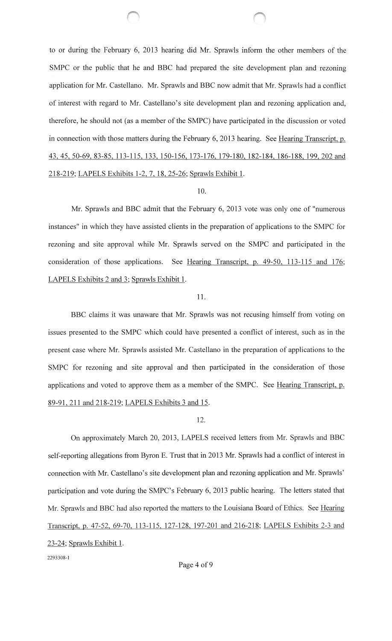to or during the February 6, 2013 hearing did Mr. Sprawls inform the other members of the SMPC or the public that he and BBC had prepared the site development plan and rezoning application for Mr. Castellano. Mr. Sprawls and BBC now admit that Mr. Sprawls had a conflict of interest with regard to Mr. Castellano's site development plan and rezoning application and, therefore, he should not (as a member of the SMPC) have participated in the discussion or voted in connection with those matters during the February 6, 2013 hearing. See Hearing Transcript, p. 43, 45,50-69,83-85, 113-115, 133, 150-156, 173-176, 179-180, 182-184, 186-188, 199,202 and 218-219; LAPELS Exhibits 1-2, 7, 18, 25-26; Sprawls Exhibit 1.

# 10.

Mr. Sprawls and BBC admit that the February 6, 2013 vote was only one of "numerous instances" in which they have assisted clients in the preparation of applications to the SMPC for rezoning and site approval while Mr. Sprawls served on the SMPC and participated in the consideration of those applications. See Hearing Transcript, p. 49-50, 113-115 and 176; LAPELS Exhibits 2 and 3; Sprawls Exhibit 1.

# 11.

BBC claims it was unaware that Mr. Sprawls was not recusing himself from voting on issues presented to the SMPC which could have presented a conflict of interest, such as in the present case where Mr. Sprawls assisted Mr. Castellano in the preparation of applications to the SMPC for rezoning and site approval and then participated in the consideration of those applications and voted to approve them as a member of the SMPC. See Hearing Transcript, p. 89-91,211 and 218-219; LAPELS Exhibits 3 and 15.

# 12.

On approximately March 20, 2013, LAPELS received letters from Mr. Sprawls and BBC self-reporting allegations from Byron E. Trust that in 2013 Mr. Sprawls had a conflict of interest in connection with Mr. Castellano's site development plan and rezoning application and Mr. Sprawls' participation and vote during the SMPC's February 6, 2013 public hearing. The letters stated that Mr. Sprawls and BBC had also reported the matters to the Louisiana Board of Ethics. See Hearing Transcript, p. 47-52, 69-70, 113-115, 127-128, 197-201 and 216-218; LAPELS Exhibits 2-3 and 23-24; Sprawls Exhibit 1. 2293308-1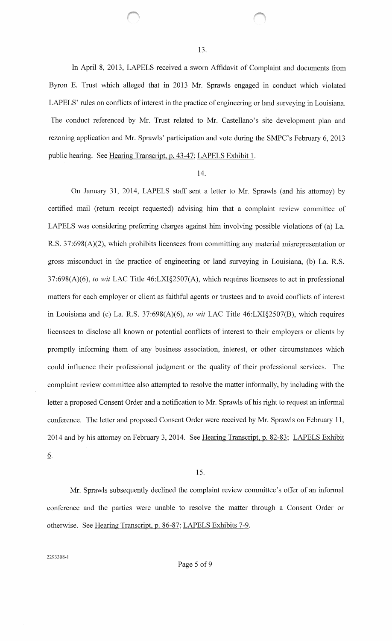In April 8, 2013, LAPELS received a sworn Affidavit of Complaint and documents from Byron E. Trust which alleged that in 2013 Mr. Sprawls engaged in conduct which violated LAPELS' rules on conflicts of interest in the practice of engineering or land surveying in Louisiana. The conduct referenced by Mr. Trust related to Mr. Castellano's site development plan and rezoning application and Mr. Sprawls' participation and vote during the SMPC's February 6, 2013 public hearing. See Hearing Transcript, p. 43-47; LAPELS Exhibit 1.

#### 14.

On January 31, 2014, LAPELS staff sent a letter to Mr. Sprawls (and his attorney) by certified mail (return receipt requested) advising him that a complaint review committee of LAPELS was considering preferring charges against him involving possible violations of (a) La. R.S. 37:698(A)(2), which prohibits licensees from committing any material misrepresentation or gross misconduct in the practice of engineering or land surveying in Louisiana, (b) La. R.S. 37:698(A)(6), *to wit* LAC Title 46:LXI§2507(A), which requires licensees to act in professional matters for each employer or client as faithful agents or trustees and to avoid conflicts of interest in Louisiana and (c) La. R.S. 37:698(A)(6), *to wit* LAC Title 46:LXI§2507(B), which requires licensees to disclose all known or potential conflicts of interest to their employers or clients by promptly informing them of any business association, interest, or other circumstances which could influence their professional judgment or the quality of their professional services. The complaint review committee also attempted to resolve the matter informally, by including with the letter a proposed Consent Order and a notification to Mr. Sprawls of his right to request an informal conference. The letter and proposed Consent Order were received by Mr. Sprawls on February 11, 2014 and by his attorney on February 3, 2014. See Hearing Transcript, p. 82-83; LAPELS Exhibit 6.

### 15.

Mr. Sprawls subsequently declined the complaint review committee's offer of an informal conference and the parties were unable to resolve the matter through a Consent Order or otherwise. See Hearing Transcript, p. 86-87; LAPELS Exhibits 7-9.

2293308-1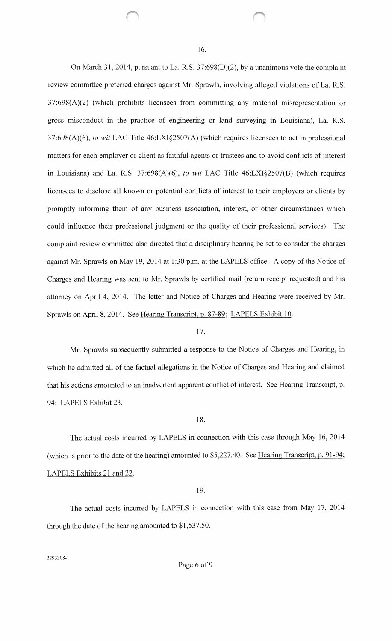On March 31,2014, pursuant to La. R.S. 37:698(D)(2), by a unanimous vote the complaint review committee preferred charges against Mr. Sprawls, involving alleged violations of La. R.S. 37:698(A)(2) (which prohibits licensees from committing any material misrepresentation or gross misconduct in the practice of engineering or land surveying in Louisiana), La. R.S. 37:698(A)(6), *to wit* LAC Title 46:LXI§2507(A) (which requires licensees to act in professional matters for each employer or client as faithful agents or trustees and to avoid conflicts of interest in Louisiana) and La. R.S. 37:698(A)(6), *to wit* LAC Title 46:LXI§2507(B) (which requires licensees to disclose all known or potential conflicts of interest to their employers or clients by promptly informing them of any business association, interest, or other circumstances which could influence their professional judgment or the quality of their professional services). The complaint review committee also directed that a disciplinary hearing be set to consider the charges against Mr. Sprawls on May 19, 2014 at 1:30 p.m. at the LAPELS office. A copy of the Notice of Charges and Hearing was sent to Mr. Sprawls by certified mail (return receipt requested) and his attorney on April 4, 2014. The letter and Notice of Charges and Hearing were received by Mr. Sprawls on April 8, 2014. See Hearing Transcript, p. 87-89; LAPELS Exhibit 10.

#### 17.

Mr. Sprawls subsequently submitted a response to the Notice of Charges and Hearing, in which he admitted all of the factual allegations in the Notice of Charges and Hearing and claimed that his actions amounted to an inadvertent apparent conflict of interest. See Hearing Transcript, p. 94; LAPELS Exhibit 23.

# 18.

The actual costs incurred by LAPELS in connection with this case through May 16, 2014 (which is prior to the date of the hearing) amounted to \$5,227.40. See Hearing Transcript, p. 91-94; LAPELS Exhibits 21 and 22.

### 19.

The actual costs incurred by LAPELS in connection with this case from May 17, 2014 through the date of the hearing amounted to \$1,537.50.

2293308-1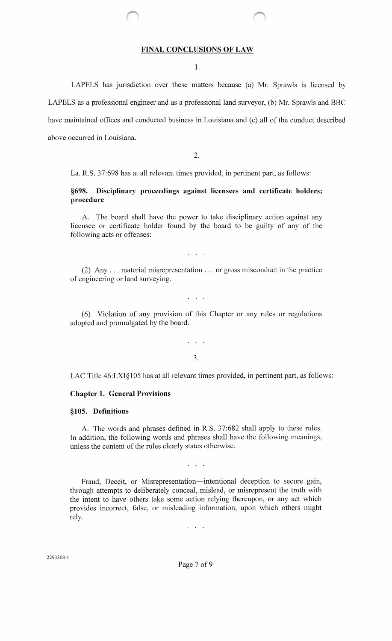### **FINAL CONCLUSIONS OF LAW**

1.

LAPELS has jurisdiction over these matters because (a) Mr. Sprawls is licensed by LAPELS as a professional engineer and as a professional land surveyor, (b) Mr. Sprawls and BBC have maintained offices and conducted business in Louisiana and (c) all of the conduct described above occurred in Louisiana.

2.

La. R.S. 37:698 has at all relevant times provided, in pertinent part, as follows:

# **§698. Disciplinary proceedings against licensees and certificate holders; procedure**

A. Tbe board shall have the power to take disciplinary action against any licensee or certificate holder found by the board to be guilty of any of the following acts or offenses:

 $\overline{1}$  ,  $\overline{1}$  ,  $\overline{1}$  ,  $\overline{1}$ 

(2) Any ... material misrepresentation ... or gross misconduct in the practice of engineering or land surveying.

 $\cdots$ 

(6) Violation of any provision of this Chapter or any rules or regulations adopted and promulgated by the board.

> $\sim$   $\sim$ 3.

LAC Title 46:LXI§105 has at all relevant times provided, in pertinent part, as follows:

#### **Chapter 1. General Provisions**

### **§105. Definitions**

A. The words and phrases defined in R.S. 37:682 shall apply to these rules. In addition, the following words and phrases shall have the following meanings, unless the content of the rules clearly states otherwise.

 $\overline{1}$  ,  $\overline{1}$  ,  $\overline{1}$  ,

Fraud, Deceit, or Misrepresentation-intentional deception to secure gain, through attempts to deliberately conceal, mislead, or misrepresent the truth with the intent to have others take some action relying thereupon, or any act which provides incorrect, false, or misleading information, upon which others might rely.

 $\cdots$ 

Page 7 of 9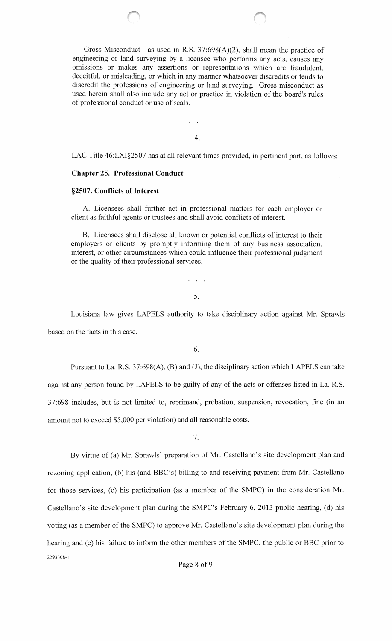Gross Misconduct—as used in R.S.  $37:698(A)(2)$ , shall mean the practice of engineering or land surveying by a licensee who performs any acts, causes any omissions or makes any assertions or representations which are fraudulent, deceitful, or misleading, or which in any manner whatsoever discredits or tends to discredit the professions of engineering or land surveying. Gross misconduct as used herein shall also include any act or practice in violation of the board's rules of professional conduct or use of seals.

4.

LAC Title 46:LXI§2507 has at all relevant times provided, in pertinent part, as follows:

### **Chapter** 25. **Professional Conduct**

### **§2507. Conflicts of Interest**

A. Licensees shall further act in professional matters for each employer or client as faithful agents or trustees and shall avoid conflicts of interest.

B. Licensees shall disclose all known or potential conflicts of interest to their employers or clients by promptly informing them of any business association, interest, or other circumstances which could influence their professional judgment or the quality of their professional services.

5.

Louisiana law gives LAPELS authority to take disciplinary action against Mr. Sprawls based on the facts in this case.

6.

Pursuant to La. R.S. 37:698(A), (B) and (J), the disciplinary action which LAPELS can take against any person found by LAPELS to be guilty of any of the acts or offenses listed in La. R.S. 37:698 includes, but is not limited to, reprimand, probation, suspension, revocation, fine (in an amount not to exceed \$5,000 per violation) and all reasonable costs.

7.

By virtue of (a) Mr. Sprawls' preparation of Mr. Castellano's site development plan and rezoning application, (b) his (and BBC's) billing to and receiving payment from Mr. Castellano for those services, (c) his participation (as a member of the SMPC) in the consideration Mr. Castellano's site development plan during the SMPC's February 6, 2013 public hearing, (d) his voting (as a member of the SMPC) to approve Mr. Castellano's site development plan during the hearing and (e) his failure to inform the other members of the SMPC, the public or BBC prior to 2293308-1